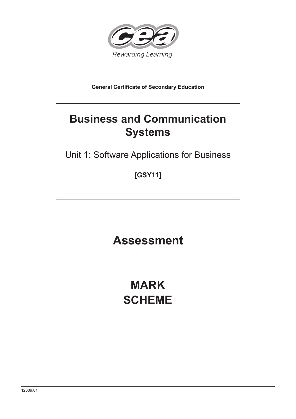

**General Certificate of Secondary Education**

# **Business and Communication Systems**

Unit 1: Software Applications for Business

**[GSY11]**

**Assessment**

**MARK SCHEME**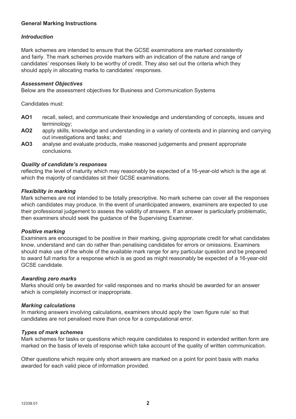### **General Marking Instructions**

#### *Introduction*

Mark schemes are intended to ensure that the GCSE examinations are marked consistently and fairly. The mark schemes provide markers with an indication of the nature and range of candidates' responses likely to be worthy of credit. They also set out the criteria which they should apply in allocating marks to candidates' responses.

#### *Assessment Objectives*

Below are the assessment objectives for Business and Communication Systems

Candidates must:

- **AO1** recall, select, and communicate their knowledge and understanding of concepts, issues and terminology;
- **AO2** apply skills, knowledge and understanding in a variety of contexts and in planning and carrying out investigations and tasks; and
- **AO3** analyse and evaluate products, make reasoned judgements and present appropriate conclusions.

#### *Quality of candidate's responses*

reflecting the level of maturity which may reasonably be expected of a 16-year-old which is the age at which the majority of candidates sit their GCSE examinations.

#### *Flexibility in marking*

Mark schemes are not intended to be totally prescriptive. No mark scheme can cover all the responses which candidates may produce. In the event of unanticipated answers, examiners are expected to use their professional judgement to assess the validity of answers. If an answer is particularly problematic, then examiners should seek the guidance of the Supervising Examiner.

#### *Positive marking*

Examiners are encouraged to be positive in their marking, giving appropriate credit for what candidates know, understand and can do rather than penalising candidates for errors or omissions. Examiners should make use of the whole of the available mark range for any particular question and be prepared to award full marks for a response which is as good as might reasonably be expected of a 16-year-old GCSE candidate.

#### *Awarding zero marks*

Marks should only be awarded for valid responses and no marks should be awarded for an answer which is completely incorrect or inappropriate.

#### *Marking calculations*

In marking answers involving calculations, examiners should apply the 'own figure rule' so that candidates are not penalised more than once for a computational error.

#### *Types of mark schemes*

Mark schemes for tasks or questions which require candidates to respond in extended written form are marked on the basis of levels of response which take account of the quality of written communication.

Other questions which require only short answers are marked on a point for point basis with marks awarded for each valid piece of information provided.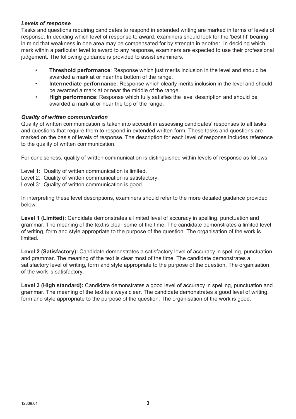#### *Levels of response*

Tasks and questions requiring candidates to respond in extended writing are marked in terms of levels of response. In deciding which level of response to award, examiners should look for the 'best fit' bearing in mind that weakness in one area may be compensated for by strength in another. In deciding which mark within a particular level to award to any response, examiners are expected to use their professional judgement. The following guidance is provided to assist examiners.

- **Threshold performance**: Response which just merits inclusion in the level and should be awarded a mark at or near the bottom of the range.
- **Intermediate performance**: Response which clearly merits inclusion in the level and should be awarded a mark at or near the middle of the range.
- **High performance**: Response which fully satisfies the level description and should be awarded a mark at or near the top of the range.

#### *Quality of written communication*

Quality of written communication is taken into account in assessing candidates' responses to all tasks and questions that require them to respond in extended written form. These tasks and questions are marked on the basis of levels of response. The description for each level of response includes reference to the quality of written communication.

For conciseness, quality of written communication is distinguished within levels of response as follows:

- Level 1: Quality of written communication is limited.
- Level 2: Quality of written communication is satisfactory.
- Level 3: Quality of written communication is good.

In interpreting these level descriptions, examiners should refer to the more detailed guidance provided below:

Level 1 (Limited): Candidate demonstrates a limited level of accuracy in spelling, punctuation and grammar. The meaning of the text is clear some of the time. The candidate demonstrates a limited level of writing, form and style appropriate to the purpose of the question. The organisation of the work is limited.

Level 2 (Satisfactory): Candidate demonstrates a satisfactory level of accuracy in spelling, punctuation and grammar. The meaning of the text is clear most of the time. The candidate demonstrates a satisfactory level of writing, form and style appropriate to the purpose of the question. The organisation of the work is satisfactory.

**Level 3 (High standard):** Candidate demonstrates a good level of accuracy in spelling, punctuation and grammar. The meaning of the text is always clear. The candidate demonstrates a good level of writing, form and style appropriate to the purpose of the question. The organisation of the work is good.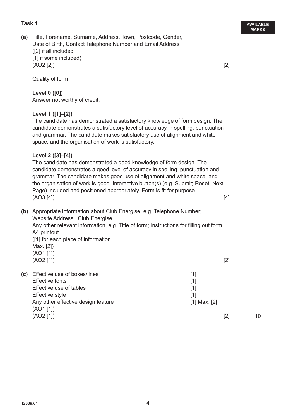#### **Task 1**

**AVAILABLE (a)** Title, Forename, Surname, Address, Town, Postcode, Gender, Date of Birth, Contact Telephone Number and Email Address ([2] if all included [1] if some included)  $(AO2 [2])$  [2] Quality of form **Level 0 ([0])** Answer not worthy of credit. **Level 1 ([1]–[2])** The candidate has demonstrated a satisfactory knowledge of form design. The candidate demonstrates a satisfactory level of accuracy in spelling, punctuation and grammar. The candidate makes satisfactory use of alignment and white space, and the organisation of work is satisfactory. **Level 2 ([3]–[4])** The candidate has demonstrated a good knowledge of form design. The candidate demonstrates a good level of accuracy in spelling, punctuation and grammar. The candidate makes good use of alignment and white space, and the organisation of work is good. Interactive button(s) (e.g. Submit; Reset; Next Page) included and positioned appropriately. Form is fit for purpose.  $(AO3 [4])$  [4] **(b)** Appropriate information about Club Energise, e.g. Telephone Number; Website Address; Club Energise Any other relevant information, e.g. Title of form; Instructions for filling out form A4 printout ([1] for each piece of information Max. [2]) (AO1 [1])  $(AO2 [1])$  [2] **(c)** Effective use of boxes/lines [1] Effective fonts [1] Effective use of tables [1] Effective style [1] Any other effective design feature **and the contract of the set of the set of the set of the set of the set of the set of the set of the set of the set of the set of the set of the set of the set of the set of the set of t** (AO1 [1])  $(AO2 [1])$  [2]

10

**MARKS**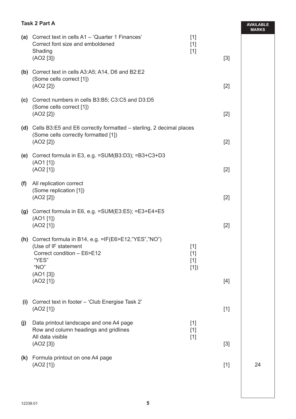|     | <b>Task 2 Part A</b>                                                                                                                                     |                                |       | <b>AVAILABLE</b><br><b>MARKS</b> |
|-----|----------------------------------------------------------------------------------------------------------------------------------------------------------|--------------------------------|-------|----------------------------------|
|     | (a) Correct text in cells A1 - 'Quarter 1 Finances'<br>Correct font size and emboldened<br>Shading<br>(AO2 [3])                                          | $[1]$<br>$[1]$<br>$[1]$        | $[3]$ |                                  |
|     | (b) Correct text in cells A3:A5; A14, D6 and B2:E2<br>(Some cells correct [1])<br>(AO2 [2])                                                              |                                | $[2]$ |                                  |
|     | (c) Correct numbers in cells B3:B5; C3:C5 and D3:D5<br>(Some cells correct [1])<br>(AO2 [2])                                                             |                                | $[2]$ |                                  |
|     | (d) Cells B3:E5 and E6 correctly formatted – sterling, 2 decimal places<br>(Some cells correctly formatted [1])<br>(AO2 [2])                             |                                | $[2]$ |                                  |
|     | (e) Correct formula in E3, e.g. = SUM(B3:D3); = B3+C3+D3<br>(AO1 [1])<br>(AO2 [1])                                                                       |                                | $[2]$ |                                  |
| (f) | All replication correct<br>(Some replication [1])<br>(AO2 [2])                                                                                           |                                | $[2]$ |                                  |
|     | (g) Correct formula in E6, e.g. = SUM(E3:E5); = $E3+E4+E5$<br>(AO1 [1])<br>(AO2 [1])                                                                     |                                | $[2]$ |                                  |
|     | (h) Correct formula in B14, e.g. =IF(E6>E12,"YES","NO")<br>(Use of IF statement<br>Correct condition - E6>E12<br>"YES"<br>"NO"<br>(AO1 [3])<br>(AO2 [1]) | $[1]$<br>$[1]$<br>$[1]$<br>[1] | $[4]$ |                                  |
| (i) | Correct text in footer - 'Club Energise Task 2'<br>(AO2 [1])                                                                                             |                                | $[1]$ |                                  |
| (j) | Data printout landscape and one A4 page<br>Row and column headings and gridlines<br>All data visible<br>(AO2 [3])                                        | $[1]$<br>$[1]$<br>$[1]$        | $[3]$ |                                  |
|     | (k) Formula printout on one A4 page<br>(AO2 [1])                                                                                                         |                                | $[1]$ | 24                               |
|     |                                                                                                                                                          |                                |       |                                  |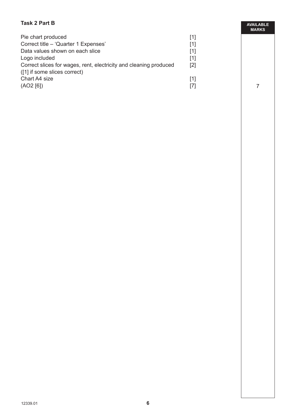# **Task 2 Part B**

| Pie chart produced                                                |     |
|-------------------------------------------------------------------|-----|
| Correct title – 'Quarter 1 Expenses'                              | [1] |
| Data values shown on each slice                                   | [1] |
| Logo included                                                     | [1] |
| Correct slices for wages, rent, electricity and cleaning produced | [2] |
| ([1] if some slices correct)                                      |     |
| Chart A4 size                                                     | [1] |
| (AO2 [6])                                                         |     |
|                                                                   |     |

**AVAILABLE MARKS**

7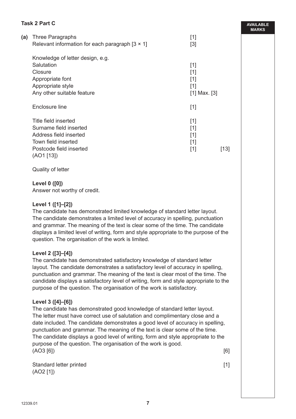# **Task 2 Part C**

| (a) | Three Paragraphs                                       | $[1]$            |      |
|-----|--------------------------------------------------------|------------------|------|
|     | Relevant information for each paragraph $[3 \times 1]$ | $[3]$            |      |
|     | Knowledge of letter design, e.g.                       |                  |      |
|     | Salutation                                             | $[1]$            |      |
|     | Closure                                                | $[1]$            |      |
|     | Appropriate font                                       | [1]              |      |
|     | Appropriate style                                      | [1]              |      |
|     | Any other suitable feature                             | $[1]$ Max. $[3]$ |      |
|     | Enclosure line                                         | $[1]$            |      |
|     | Title field inserted                                   | $[1]$            |      |
|     | Surname field inserted                                 | $[1]$            |      |
|     | Address field inserted                                 | $[1]$            |      |
|     | Town field inserted                                    | $[1]$            |      |
|     | Postcode field inserted                                | $[1]$            | [13] |
|     | (AO1 [13])                                             |                  |      |

Quality of letter

#### **Level 0 ([0])**

Answer not worthy of credit.

#### **Level 1 ([1]–[2])**

The candidate has demonstrated limited knowledge of standard letter layout. The candidate demonstrates a limited level of accuracy in spelling, punctuation and grammar. The meaning of the text is clear some of the time. The candidate displays a limited level of writing, form and style appropriate to the purpose of the question. The organisation of the work is limited.

### **Level 2 ([3]–[4])**

The candidate has demonstrated satisfactory knowledge of standard letter layout. The candidate demonstrates a satisfactory level of accuracy in spelling, punctuation and grammar. The meaning of the text is clear most of the time. The candidate displays a satisfactory level of writing, form and style appropriate to the purpose of the question. The organisation of the work is satisfactory.

#### **Level 3 ([4]–[6])**

The candidate has demonstrated good knowledge of standard letter layout. The letter must have correct use of salutation and complimentary close and a date included. The candidate demonstrates a good level of accuracy in spelling, punctuation and grammar. The meaning of the text is clear some of the time. The candidate displays a good level of writing, form and style appropriate to the purpose of the question. The organisation of the work is good.  $(AO3 [6])$  [6]

Standard letter printed **in the standard letter printed in the standard letter printed in the standard in the standard in the standard in the standard in the standard in the standard in the standard in the standard in** (AO2 [1])

**AVAILABLE MARKS**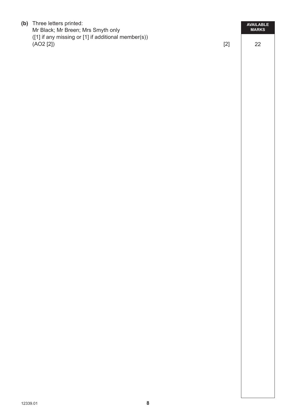**(b)** Three letters printed: Mr Black; Mr Breen; Mrs Smyth only ([1] if any missing or [1] if additional member(s))  $(AO2 [2])$  [2]

22

**AVAILABLE MARKS**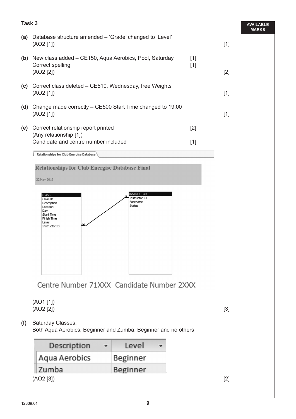# **Task 3 AVAILABLE MARKS (a)** Database structure amended – 'Grade' changed to 'Level'  $(AO2 [1])$  [1] **(b)** New class added – CE150, Aqua Aerobics, Pool, Saturday [1] Correct spelling [1]  $(AO2 [2])$  [2] **(c)** Correct class deleted – CE510, Wednesday, free Weights  $(AO2 [1])$  [1] **(d)** Change made correctly – CE500 Start Time changed to 19:00  $(AO2 [1])$  [1] **(e)** Correct relationship report printed [2] (Any relationship [1]) Candidate and centre number included [1] Relationships for Club Energise Database **Relationships for Club Energise Database Final** 22 May 2019 **INSTRUCTOR CLASS** Instructor ID Class ID Forename Description Status Location Day Start Time Finish Time Level œ Instructor ID Centre Number 71XXX Candidate Number 2XXX (AO1 [1])  $(AO2 [2])$  [3] **(f)** Saturday Classes: Both Aqua Aerobics, Beginner and Zumba, Beginner and no others Description ÷ Level ۴ Aqua Aerobics Beginner Zumba Beginner (AO2 [3]) [2]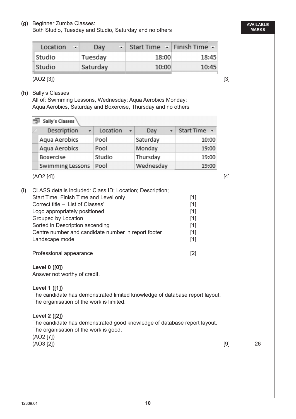Both Studio, Tuesday and Studio, Saturday and no others

| Location | $\mathbf{v}$ . | Day      | $\cdot$ Start Time $\cdot$ Finish Time $\cdot$ |       |
|----------|----------------|----------|------------------------------------------------|-------|
| Studio   |                | Tuesday  | 18:00                                          | 18:45 |
| Studio   |                | Saturday | 10:00                                          | 10:45 |

 $(AO2 [3])$  [3]

**(h)** Sally's Classes

All of: Swimming Lessons, Wednesday; Aqua Aerobics Monday; Aqua Aerobics, Saturday and Boxercise, Thursday and no others

|                                                                                                                                                                                                                                                                                                             | Description<br>÷                              | Location<br>٠ | Day<br>٠  | Start Time +                                                |  |
|-------------------------------------------------------------------------------------------------------------------------------------------------------------------------------------------------------------------------------------------------------------------------------------------------------------|-----------------------------------------------|---------------|-----------|-------------------------------------------------------------|--|
|                                                                                                                                                                                                                                                                                                             | Aqua Aerobics                                 | Pool          | Saturday  | 10:00                                                       |  |
|                                                                                                                                                                                                                                                                                                             | Aqua Aerobics                                 | Pool          | Monday    | 19:00                                                       |  |
|                                                                                                                                                                                                                                                                                                             | Boxercise                                     | Studio        | Thursday  | 19:00                                                       |  |
|                                                                                                                                                                                                                                                                                                             | <b>Swimming Lessons</b>                       | Pool          | Wednesday | 19:00                                                       |  |
|                                                                                                                                                                                                                                                                                                             | (AO2 [4])                                     |               |           |                                                             |  |
| CLASS details included: Class ID; Location; Description;<br>Start Time; Finish Time and Level only<br>Correct title - 'List of Classes'<br>Logo appropriately positioned<br>Grouped by Location<br>Sorted in Description ascending<br>Centre number and candidate number in report footer<br>Landscape mode |                                               |               |           | $[1]$<br>$[1]$<br>$[1]$<br>$[1]$<br>$[1]$<br>$[1]$<br>$[1]$ |  |
|                                                                                                                                                                                                                                                                                                             | Professional appearance                       |               |           | $[2]$                                                       |  |
|                                                                                                                                                                                                                                                                                                             | Level 0 ([0])<br>Answer not worthy of credit. |               |           |                                                             |  |
| Level 1 ([1])<br>The candidate has demonstrated limited knowledge of database report layout.<br>The organisation of the work is limited.                                                                                                                                                                    |                                               |               |           |                                                             |  |
|                                                                                                                                                                                                                                                                                                             |                                               |               |           |                                                             |  |

**AVAILABLE MARKS**

26